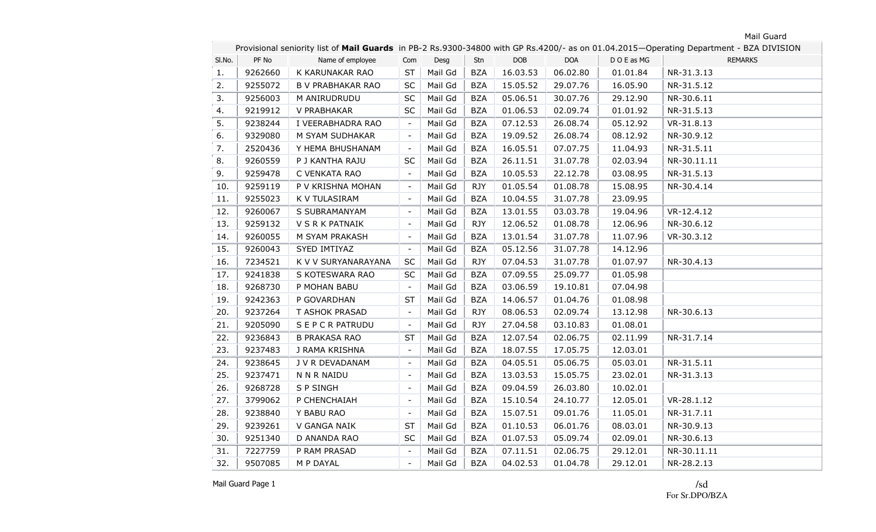|        |         |                          | Provisional seniority list of Mail Guards in PB-2 Rs.9300-34800 with GP Rs.4200/- as on 01.04.2015-Operating Department - BZA DIVISION |         |            |            |            |           |                |  |
|--------|---------|--------------------------|----------------------------------------------------------------------------------------------------------------------------------------|---------|------------|------------|------------|-----------|----------------|--|
| SI.No. | PF No   | Name of employee         | Com                                                                                                                                    | Desg    | Stn        | <b>DOB</b> | <b>DOA</b> | DOE as MG | <b>REMARKS</b> |  |
| 1.     | 9262660 | K KARUNAKAR RAO          | ST                                                                                                                                     | Mail Gd | <b>BZA</b> | 16.03.53   | 06.02.80   | 01.01.84  | NR-31.3.13     |  |
| 2.     | 9255072 | <b>B V PRABHAKAR RAO</b> | <b>SC</b>                                                                                                                              | Mail Gd | <b>BZA</b> | 15.05.52   | 29.07.76   | 16.05.90  | NR-31.5.12     |  |
| 3.     | 9256003 | M ANIRUDRUDU             | <b>SC</b>                                                                                                                              | Mail Gd | <b>BZA</b> | 05.06.51   | 30.07.76   | 29.12.90  | NR-30.6.11     |  |
| 4.     | 9219912 | V PRABHAKAR              | <b>SC</b>                                                                                                                              | Mail Gd | <b>BZA</b> | 01.06.53   | 02.09.74   | 01.01.92  | NR-31.5.13     |  |
| 5.     | 9238244 | I VEERABHADRA RAO        | $\overline{\phantom{a}}$                                                                                                               | Mail Gd | <b>BZA</b> | 07.12.53   | 26.08.74   | 05.12.92  | VR-31.8.13     |  |
| 6.     | 9329080 | M SYAM SUDHAKAR          | $\equiv$                                                                                                                               | Mail Gd | <b>BZA</b> | 19.09.52   | 26.08.74   | 08.12.92  | NR-30.9.12     |  |
| 7.     | 2520436 | Y HEMA BHUSHANAM         | $\blacksquare$                                                                                                                         | Mail Gd | <b>BZA</b> | 16.05.51   | 07.07.75   | 11.04.93  | NR-31.5.11     |  |
| 8.     | 9260559 | P J KANTHA RAJU          | <b>SC</b>                                                                                                                              | Mail Gd | <b>BZA</b> | 26.11.51   | 31.07.78   | 02.03.94  | NR-30.11.11    |  |
| 9.     | 9259478 | C VENKATA RAO            | $\overline{\phantom{a}}$                                                                                                               | Mail Gd | <b>BZA</b> | 10.05.53   | 22.12.78   | 03.08.95  | NR-31.5.13     |  |
| 10.    | 9259119 | P V KRISHNA MOHAN        | $\overline{\phantom{a}}$                                                                                                               | Mail Gd | <b>RJY</b> | 01.05.54   | 01.08.78   | 15.08.95  | NR-30.4.14     |  |
| 11.    | 9255023 | K V TULASIRAM            | $\overline{\phantom{a}}$                                                                                                               | Mail Gd | <b>BZA</b> | 10.04.55   | 31.07.78   | 23.09.95  |                |  |
| 12.    | 9260067 | S SUBRAMANYAM            | $\blacksquare$                                                                                                                         | Mail Gd | <b>BZA</b> | 13.01.55   | 03.03.78   | 19.04.96  | VR-12.4.12     |  |
| 13.    | 9259132 | V S R K PATNAIK          | $\overline{\phantom{a}}$                                                                                                               | Mail Gd | <b>RJY</b> | 12.06.52   | 01.08.78   | 12.06.96  | NR-30.6.12     |  |
| 14.    | 9260055 | M SYAM PRAKASH           | $\overline{\phantom{a}}$                                                                                                               | Mail Gd | <b>BZA</b> | 13.01.54   | 31.07.78   | 11.07.96  | VR-30.3.12     |  |
| 15.    | 9260043 | SYED IMTIYAZ             | $\overline{\phantom{a}}$                                                                                                               | Mail Gd | <b>BZA</b> | 05.12.56   | 31.07.78   | 14.12.96  |                |  |
| 16.    | 7234521 | K V V SURYANARAYANA      | <b>SC</b>                                                                                                                              | Mail Gd | <b>RJY</b> | 07.04.53   | 31.07.78   | 01.07.97  | NR-30.4.13     |  |
| 17.    | 9241838 | S KOTESWARA RAO          | SC                                                                                                                                     | Mail Gd | <b>BZA</b> | 07.09.55   | 25.09.77   | 01.05.98  |                |  |
| 18.    | 9268730 | P MOHAN BABU             |                                                                                                                                        | Mail Gd | <b>BZA</b> | 03.06.59   | 19.10.81   | 07.04.98  |                |  |
| 19.    | 9242363 | P GOVARDHAN              | <b>ST</b>                                                                                                                              | Mail Gd | <b>BZA</b> | 14.06.57   | 01.04.76   | 01.08.98  |                |  |
| 20.    | 9237264 | T ASHOK PRASAD           | $\overline{\phantom{a}}$                                                                                                               | Mail Gd | <b>RJY</b> | 08.06.53   | 02.09.74   | 13.12.98  | NR-30.6.13     |  |
| 21.    | 9205090 | S E P C R PATRUDU        | $\overline{\phantom{a}}$                                                                                                               | Mail Gd | <b>RJY</b> | 27.04.58   | 03.10.83   | 01.08.01  |                |  |
| 22.    | 9236843 | <b>B PRAKASA RAO</b>     | ST                                                                                                                                     | Mail Gd | <b>BZA</b> | 12.07.54   | 02.06.75   | 02.11.99  | NR-31.7.14     |  |
| 23.    | 9237483 | J RAMA KRISHNA           | $\overline{\phantom{a}}$                                                                                                               | Mail Gd | <b>BZA</b> | 18.07.55   | 17.05.75   | 12.03.01  |                |  |
| 24.    | 9238645 | J V R DEVADANAM          | $\overline{\phantom{a}}$                                                                                                               | Mail Gd | <b>BZA</b> | 04.05.51   | 05.06.75   | 05.03.01  | NR-31.5.11     |  |
| 25.    | 9237471 | N N R NAIDU              | $\overline{\phantom{a}}$                                                                                                               | Mail Gd | <b>BZA</b> | 13.03.53   | 15.05.75   | 23.02.01  | NR-31.3.13     |  |
| 26.    | 9268728 | S P SINGH                | $\overline{\phantom{a}}$                                                                                                               | Mail Gd | <b>BZA</b> | 09.04.59   | 26.03.80   | 10.02.01  |                |  |
| 27.    | 3799062 | P CHENCHAIAH             | $\overline{\phantom{a}}$                                                                                                               | Mail Gd | <b>BZA</b> | 15.10.54   | 24.10.77   | 12.05.01  | VR-28.1.12     |  |
| 28.    | 9238840 | Y BABU RAO               | $\overline{\phantom{a}}$                                                                                                               | Mail Gd | <b>BZA</b> | 15.07.51   | 09.01.76   | 11.05.01  | NR-31.7.11     |  |
| 29.    | 9239261 | V GANGA NAIK             | <b>ST</b>                                                                                                                              | Mail Gd | <b>BZA</b> | 01.10.53   | 06.01.76   | 08.03.01  | NR-30.9.13     |  |
| 30.    | 9251340 | D ANANDA RAO             | <b>SC</b>                                                                                                                              | Mail Gd | <b>BZA</b> | 01.07.53   | 05.09.74   | 02.09.01  | NR-30.6.13     |  |
| 31.    | 7227759 | P RAM PRASAD             | $\blacksquare$                                                                                                                         | Mail Gd | <b>BZA</b> | 07.11.51   | 02.06.75   | 29.12.01  | NR-30.11.11    |  |
| 32.    | 9507085 | M P DAYAL                | $\overline{\phantom{a}}$                                                                                                               | Mail Gd | <b>BZA</b> | 04.02.53   | 01.04.78   | 29.12.01  | NR-28.2.13     |  |

Mail Guard Page 1

/sd For Sr.DPO/BZA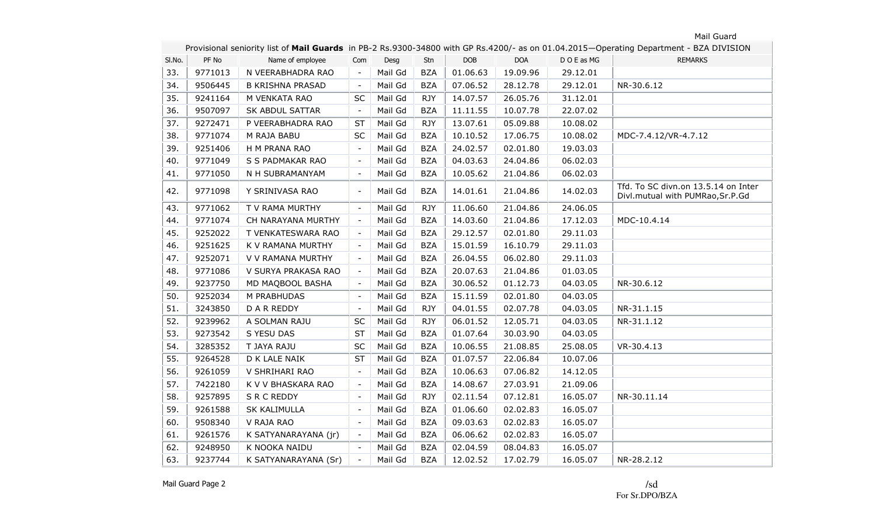|        | Provisional seniority list of Mail Guards in PB-2 Rs.9300-34800 with GP Rs.4200/- as on 01.04.2015-Operating Department - BZA DIVISION |                         |                          |         |            |            |            |           |                                                                         |  |  |
|--------|----------------------------------------------------------------------------------------------------------------------------------------|-------------------------|--------------------------|---------|------------|------------|------------|-----------|-------------------------------------------------------------------------|--|--|
| SI.No. | PF No                                                                                                                                  | Name of employee        | Com                      | Desg    | Stn        | <b>DOB</b> | <b>DOA</b> | DOE as MG | <b>REMARKS</b>                                                          |  |  |
| 33.    | 9771013                                                                                                                                | N VEERABHADRA RAO       | $\blacksquare$           | Mail Gd | <b>BZA</b> | 01.06.63   | 19.09.96   | 29.12.01  |                                                                         |  |  |
| 34.    | 9506445                                                                                                                                | <b>B KRISHNA PRASAD</b> | $\overline{\phantom{a}}$ | Mail Gd | <b>BZA</b> | 07.06.52   | 28.12.78   | 29.12.01  | NR-30.6.12                                                              |  |  |
| 35.    | 9241164                                                                                                                                | M VENKATA RAO           | <b>SC</b>                | Mail Gd | <b>RJY</b> | 14.07.57   | 26.05.76   | 31.12.01  |                                                                         |  |  |
| 36.    | 9507097                                                                                                                                | SK ABDUL SATTAR         | $\overline{\phantom{a}}$ | Mail Gd | <b>BZA</b> | 11.11.55   | 10.07.78   | 22.07.02  |                                                                         |  |  |
| 37.    | 9272471                                                                                                                                | P VEERABHADRA RAO       | <b>ST</b>                | Mail Gd | <b>RJY</b> | 13.07.61   | 05.09.88   | 10.08.02  |                                                                         |  |  |
| 38.    | 9771074                                                                                                                                | M RAJA BABU             | SC                       | Mail Gd | <b>BZA</b> | 10.10.52   | 17.06.75   | 10.08.02  | MDC-7.4.12/VR-4.7.12                                                    |  |  |
| 39.    | 9251406                                                                                                                                | H M PRANA RAO           | $\overline{\phantom{a}}$ | Mail Gd | <b>BZA</b> | 24.02.57   | 02.01.80   | 19.03.03  |                                                                         |  |  |
| 40.    | 9771049                                                                                                                                | S S PADMAKAR RAO        | $\overline{\phantom{a}}$ | Mail Gd | <b>BZA</b> | 04.03.63   | 24.04.86   | 06.02.03  |                                                                         |  |  |
| 41.    | 9771050                                                                                                                                | N H SUBRAMANYAM         | $\overline{\phantom{a}}$ | Mail Gd | <b>BZA</b> | 10.05.62   | 21.04.86   | 06.02.03  |                                                                         |  |  |
| 42.    | 9771098                                                                                                                                | Y SRINIVASA RAO         | $\overline{\phantom{a}}$ | Mail Gd | <b>BZA</b> | 14.01.61   | 21.04.86   | 14.02.03  | Tfd. To SC divn.on 13.5.14 on Inter<br>Divl.mutual with PUMRao, Sr.P.Gd |  |  |
| 43.    | 9771062                                                                                                                                | T V RAMA MURTHY         | $\overline{\phantom{a}}$ | Mail Gd | <b>RJY</b> | 11.06.60   | 21.04.86   | 24.06.05  |                                                                         |  |  |
| 44.    | 9771074                                                                                                                                | CH NARAYANA MURTHY      | $\overline{\phantom{a}}$ | Mail Gd | <b>BZA</b> | 14.03.60   | 21.04.86   | 17.12.03  | MDC-10.4.14                                                             |  |  |
| 45.    | 9252022                                                                                                                                | T VENKATESWARA RAO      | $\overline{\phantom{a}}$ | Mail Gd | <b>BZA</b> | 29.12.57   | 02.01.80   | 29.11.03  |                                                                         |  |  |
| 46.    | 9251625                                                                                                                                | K V RAMANA MURTHY       | $\overline{\phantom{a}}$ | Mail Gd | <b>BZA</b> | 15.01.59   | 16.10.79   | 29.11.03  |                                                                         |  |  |
| 47.    | 9252071                                                                                                                                | V V RAMANA MURTHY       | $\overline{\phantom{a}}$ | Mail Gd | <b>BZA</b> | 26.04.55   | 06.02.80   | 29.11.03  |                                                                         |  |  |
| 48.    | 9771086                                                                                                                                | V SURYA PRAKASA RAO     | $\overline{\phantom{a}}$ | Mail Gd | <b>BZA</b> | 20.07.63   | 21.04.86   | 01.03.05  |                                                                         |  |  |
| 49.    | 9237750                                                                                                                                | MD MAQBOOL BASHA        | $\overline{\phantom{a}}$ | Mail Gd | <b>BZA</b> | 30.06.52   | 01.12.73   | 04.03.05  | NR-30.6.12                                                              |  |  |
| 50.    | 9252034                                                                                                                                | M PRABHUDAS             | $\overline{\phantom{a}}$ | Mail Gd | <b>BZA</b> | 15.11.59   | 02.01.80   | 04.03.05  |                                                                         |  |  |
| 51.    | 3243850                                                                                                                                | D A R REDDY             | $\overline{\phantom{a}}$ | Mail Gd | <b>RJY</b> | 04.01.55   | 02.07.78   | 04.03.05  | NR-31.1.15                                                              |  |  |
| 52.    | 9239962                                                                                                                                | A SOLMAN RAJU           | <b>SC</b>                | Mail Gd | <b>RJY</b> | 06.01.52   | 12.05.71   | 04.03.05  | NR-31.1.12                                                              |  |  |
| 53.    | 9273542                                                                                                                                | S YESU DAS              | <b>ST</b>                | Mail Gd | <b>BZA</b> | 01.07.64   | 30.03.90   | 04.03.05  |                                                                         |  |  |
| 54.    | 3285352                                                                                                                                | T JAYA RAJU             | SC                       | Mail Gd | <b>BZA</b> | 10.06.55   | 21.08.85   | 25.08.05  | VR-30.4.13                                                              |  |  |
| 55.    | 9264528                                                                                                                                | D K LALE NAIK           | <b>ST</b>                | Mail Gd | <b>BZA</b> | 01.07.57   | 22.06.84   | 10.07.06  |                                                                         |  |  |
| 56.    | 9261059                                                                                                                                | V SHRIHARI RAO          | $\overline{\phantom{a}}$ | Mail Gd | <b>BZA</b> | 10.06.63   | 07.06.82   | 14.12.05  |                                                                         |  |  |
| 57.    | 7422180                                                                                                                                | K V V BHASKARA RAO      | $\overline{\phantom{a}}$ | Mail Gd | <b>BZA</b> | 14.08.67   | 27.03.91   | 21.09.06  |                                                                         |  |  |
| 58.    | 9257895                                                                                                                                | S R C REDDY             | $\overline{\phantom{a}}$ | Mail Gd | <b>RJY</b> | 02.11.54   | 07.12.81   | 16.05.07  | NR-30.11.14                                                             |  |  |
| 59.    | 9261588                                                                                                                                | <b>SK KALIMULLA</b>     | $\overline{\phantom{a}}$ | Mail Gd | <b>BZA</b> | 01.06.60   | 02.02.83   | 16.05.07  |                                                                         |  |  |
| 60.    | 9508340                                                                                                                                | V RAJA RAO              | $\overline{\phantom{a}}$ | Mail Gd | <b>BZA</b> | 09.03.63   | 02.02.83   | 16.05.07  |                                                                         |  |  |
| 61.    | 9261576                                                                                                                                | K SATYANARAYANA (jr)    | $\overline{\phantom{a}}$ | Mail Gd | <b>BZA</b> | 06.06.62   | 02.02.83   | 16.05.07  |                                                                         |  |  |
| 62.    | 9248950                                                                                                                                | K NOOKA NAIDU           | $\blacksquare$           | Mail Gd | <b>BZA</b> | 02.04.59   | 08.04.83   | 16.05.07  |                                                                         |  |  |
| 63.    | 9237744                                                                                                                                | K SATYANARAYANA (Sr)    |                          | Mail Gd | <b>BZA</b> | 12.02.52   | 17.02.79   | 16.05.07  | NR-28.2.12                                                              |  |  |

Mail Guard Page 2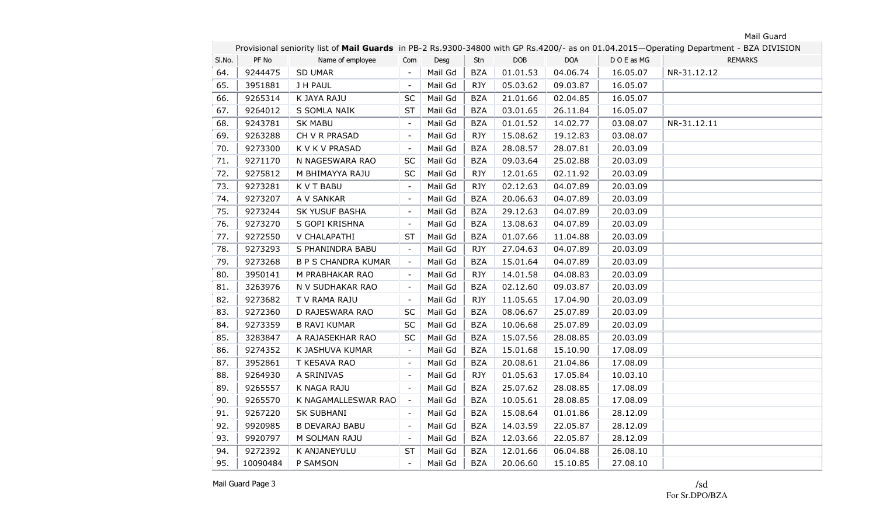٠

|        | Provisional seniority list of Mail Guards in PB-2 Rs.9300-34800 with GP Rs.4200/- as on 01.04.2015-Operating Department - BZA DIVISION |                            |                          |         |            |            |            |           |                |  |  |
|--------|----------------------------------------------------------------------------------------------------------------------------------------|----------------------------|--------------------------|---------|------------|------------|------------|-----------|----------------|--|--|
| SI.No. | PF No                                                                                                                                  | Name of employee           | Com                      | Desg    | Stn        | <b>DOB</b> | <b>DOA</b> | DOE as MG | <b>REMARKS</b> |  |  |
| 64.    | 9244475                                                                                                                                | <b>SD UMAR</b>             | $\blacksquare$           | Mail Gd | <b>BZA</b> | 01.01.53   | 04.06.74   | 16.05.07  | NR-31.12.12    |  |  |
| 65.    | 3951881                                                                                                                                | J H PAUL                   | $\blacksquare$           | Mail Gd | <b>RJY</b> | 05.03.62   | 09.03.87   | 16.05.07  |                |  |  |
| 66.    | 9265314                                                                                                                                | K JAYA RAJU                | SC                       | Mail Gd | <b>BZA</b> | 21.01.66   | 02.04.85   | 16.05.07  |                |  |  |
| 67.    | 9264012                                                                                                                                | S SOMLA NAIK               | <b>ST</b>                | Mail Gd | <b>BZA</b> | 03.01.65   | 26.11.84   | 16.05.07  |                |  |  |
| 68.    | 9243781                                                                                                                                | <b>SK MABU</b>             | $\overline{\phantom{a}}$ | Mail Gd | <b>BZA</b> | 01.01.52   | 14.02.77   | 03.08.07  | NR-31.12.11    |  |  |
| 69.    | 9263288                                                                                                                                | CH V R PRASAD              | $\overline{\phantom{a}}$ | Mail Gd | <b>RJY</b> | 15.08.62   | 19.12.83   | 03.08.07  |                |  |  |
| 70.    | 9273300                                                                                                                                | K V K V PRASAD             | $\overline{\phantom{a}}$ | Mail Gd | <b>BZA</b> | 28.08.57   | 28.07.81   | 20.03.09  |                |  |  |
| 71.    | 9271170                                                                                                                                | N NAGESWARA RAO            | SC                       | Mail Gd | <b>BZA</b> | 09.03.64   | 25.02.88   | 20.03.09  |                |  |  |
| 72.    | 9275812                                                                                                                                | M BHIMAYYA RAJU            | SC                       | Mail Gd | <b>RJY</b> | 12.01.65   | 02.11.92   | 20.03.09  |                |  |  |
| 73.    | 9273281                                                                                                                                | K V T BABU                 | $\overline{\phantom{a}}$ | Mail Gd | <b>RJY</b> | 02.12.63   | 04.07.89   | 20.03.09  |                |  |  |
| 74.    | 9273207                                                                                                                                | A V SANKAR                 | $\sim$                   | Mail Gd | <b>BZA</b> | 20.06.63   | 04.07.89   | 20.03.09  |                |  |  |
| 75.    | 9273244                                                                                                                                | SK YUSUF BASHA             | $\overline{\phantom{a}}$ | Mail Gd | <b>BZA</b> | 29.12.63   | 04.07.89   | 20.03.09  |                |  |  |
| 76.    | 9273270                                                                                                                                | S GOPI KRISHNA             |                          | Mail Gd | <b>BZA</b> | 13.08.63   | 04.07.89   | 20.03.09  |                |  |  |
| 77.    | 9272550                                                                                                                                | V CHALAPATHI               | ST                       | Mail Gd | <b>BZA</b> | 01.07.66   | 11.04.88   | 20.03.09  |                |  |  |
| 78.    | 9273293                                                                                                                                | S PHANINDRA BABU           | $\overline{\phantom{a}}$ | Mail Gd | <b>RJY</b> | 27.04.63   | 04.07.89   | 20.03.09  |                |  |  |
| 79.    | 9273268                                                                                                                                | <b>B P S CHANDRA KUMAR</b> | $\overline{\phantom{a}}$ | Mail Gd | <b>BZA</b> | 15.01.64   | 04.07.89   | 20.03.09  |                |  |  |
| 80.    | 3950141                                                                                                                                | M PRABHAKAR RAO            | $\overline{\phantom{a}}$ | Mail Gd | <b>RJY</b> | 14.01.58   | 04.08.83   | 20.03.09  |                |  |  |
| 81.    | 3263976                                                                                                                                | N V SUDHAKAR RAO           | $\overline{\phantom{a}}$ | Mail Gd | <b>BZA</b> | 02.12.60   | 09.03.87   | 20.03.09  |                |  |  |
| 82.    | 9273682                                                                                                                                | T V RAMA RAJU              | $\overline{\phantom{a}}$ | Mail Gd | <b>RJY</b> | 11.05.65   | 17.04.90   | 20.03.09  |                |  |  |
| 83.    | 9272360                                                                                                                                | D RAJESWARA RAO            | SC                       | Mail Gd | <b>BZA</b> | 08.06.67   | 25.07.89   | 20.03.09  |                |  |  |
| 84.    | 9273359                                                                                                                                | <b>B RAVI KUMAR</b>        | SC                       | Mail Gd | <b>BZA</b> | 10.06.68   | 25.07.89   | 20.03.09  |                |  |  |
| 85.    | 3283847                                                                                                                                | A RAJASEKHAR RAO           | SC                       | Mail Gd | <b>BZA</b> | 15.07.56   | 28.08.85   | 20.03.09  |                |  |  |
| 86.    | 9274352                                                                                                                                | K JASHUVA KUMAR            | $\overline{\phantom{a}}$ | Mail Gd | <b>BZA</b> | 15.01.68   | 15.10.90   | 17.08.09  |                |  |  |
| 87.    | 3952861                                                                                                                                | T KESAVA RAO               | $\overline{\phantom{a}}$ | Mail Gd | <b>BZA</b> | 20.08.61   | 21.04.86   | 17.08.09  |                |  |  |
| 88.    | 9264930                                                                                                                                | A SRINIVAS                 | $\overline{\phantom{a}}$ | Mail Gd | <b>RJY</b> | 01.05.63   | 17.05.84   | 10.03.10  |                |  |  |
| 89.    | 9265557                                                                                                                                | K NAGA RAJU                | $\blacksquare$           | Mail Gd | <b>BZA</b> | 25.07.62   | 28.08.85   | 17.08.09  |                |  |  |
| 90.    | 9265570                                                                                                                                | K NAGAMALLESWAR RAO        | $\overline{\phantom{a}}$ | Mail Gd | <b>BZA</b> | 10.05.61   | 28.08.85   | 17.08.09  |                |  |  |
| 91.    | 9267220                                                                                                                                | SK SUBHANI                 | $\overline{\phantom{a}}$ | Mail Gd | <b>BZA</b> | 15.08.64   | 01.01.86   | 28.12.09  |                |  |  |
| 92.    | 9920985                                                                                                                                | <b>B DEVARAJ BABU</b>      | $\overline{\phantom{a}}$ | Mail Gd | <b>BZA</b> | 14.03.59   | 22.05.87   | 28.12.09  |                |  |  |
| 93.    | 9920797                                                                                                                                | M SOLMAN RAJU              | $\overline{\phantom{a}}$ | Mail Gd | <b>BZA</b> | 12.03.66   | 22.05.87   | 28.12.09  |                |  |  |
| 94.    | 9272392                                                                                                                                | K ANJANEYULU               | <b>ST</b>                | Mail Gd | <b>BZA</b> | 12.01.66   | 06.04.88   | 26.08.10  |                |  |  |
| 95.    | 10090484                                                                                                                               | P SAMSON                   | $\overline{\phantom{a}}$ | Mail Gd | <b>BZA</b> | 20.06.60   | 15.10.85   | 27.08.10  |                |  |  |

Mail Guard Page 3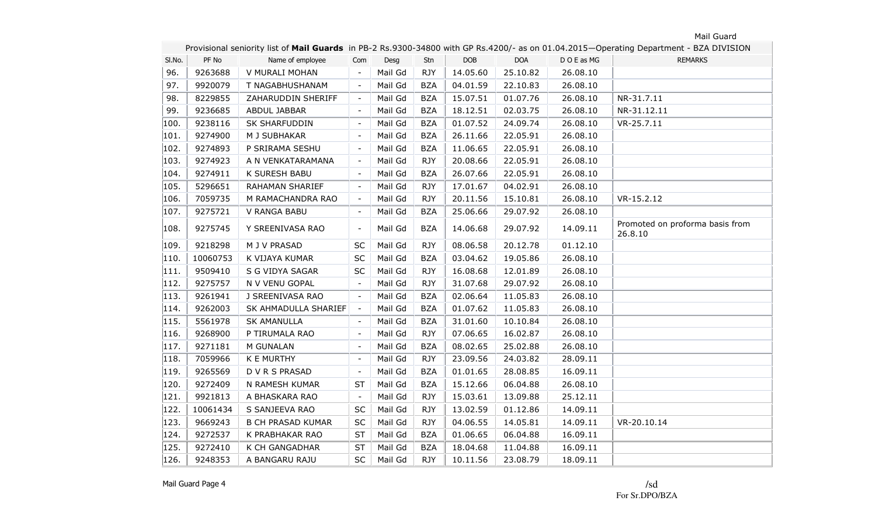|        | Provisional seniority list of Mail Guards in PB-2 Rs.9300-34800 with GP Rs.4200/- as on 01.04.2015-Operating Department - BZA DIVISION |                          |                          |         |            |          |            |           |                                            |  |  |
|--------|----------------------------------------------------------------------------------------------------------------------------------------|--------------------------|--------------------------|---------|------------|----------|------------|-----------|--------------------------------------------|--|--|
| SI.No. | PF No                                                                                                                                  | Name of employee         | Com                      | Desg    | Stn        | DOB      | <b>DOA</b> | DOE as MG | <b>REMARKS</b>                             |  |  |
| 96.    | 9263688                                                                                                                                | V MURALI MOHAN           |                          | Mail Gd | <b>RJY</b> | 14.05.60 | 25.10.82   | 26.08.10  |                                            |  |  |
| 97.    | 9920079                                                                                                                                | T NAGABHUSHANAM          |                          | Mail Gd | <b>BZA</b> | 04.01.59 | 22.10.83   | 26.08.10  |                                            |  |  |
| 98.    | 8229855                                                                                                                                | ZAHARUDDIN SHERIFF       |                          | Mail Gd | <b>BZA</b> | 15.07.51 | 01.07.76   | 26.08.10  | NR-31.7.11                                 |  |  |
| 99.    | 9236685                                                                                                                                | ABDUL JABBAR             | $\overline{\phantom{a}}$ | Mail Gd | <b>BZA</b> | 18.12.51 | 02.03.75   | 26.08.10  | NR-31.12.11                                |  |  |
| 100.   | 9238116                                                                                                                                | SK SHARFUDDIN            | $\sim$                   | Mail Gd | <b>BZA</b> | 01.07.52 | 24.09.74   | 26.08.10  | VR-25.7.11                                 |  |  |
| 101.   | 9274900                                                                                                                                | M J SUBHAKAR             | $\overline{\phantom{a}}$ | Mail Gd | <b>BZA</b> | 26.11.66 | 22.05.91   | 26.08.10  |                                            |  |  |
| 102.   | 9274893                                                                                                                                | P SRIRAMA SESHU          | $\overline{\phantom{a}}$ | Mail Gd | <b>BZA</b> | 11.06.65 | 22.05.91   | 26.08.10  |                                            |  |  |
| 103.   | 9274923                                                                                                                                | A N VENKATARAMANA        | $\overline{\phantom{a}}$ | Mail Gd | <b>RJY</b> | 20.08.66 | 22.05.91   | 26.08.10  |                                            |  |  |
| 104.   | 9274911                                                                                                                                | K SURESH BABU            | $\overline{\phantom{a}}$ | Mail Gd | <b>BZA</b> | 26.07.66 | 22.05.91   | 26.08.10  |                                            |  |  |
| 105.   | 5296651                                                                                                                                | RAHAMAN SHARIEF          | $\overline{\phantom{a}}$ | Mail Gd | <b>RJY</b> | 17.01.67 | 04.02.91   | 26.08.10  |                                            |  |  |
| 106.   | 7059735                                                                                                                                | M RAMACHANDRA RAO        | $\overline{\phantom{a}}$ | Mail Gd | <b>RJY</b> | 20.11.56 | 15.10.81   | 26.08.10  | $VR-15.2.12$                               |  |  |
| 107.   | 9275721                                                                                                                                | V RANGA BABU             | $\overline{\phantom{a}}$ | Mail Gd | <b>BZA</b> | 25.06.66 | 29.07.92   | 26.08.10  |                                            |  |  |
| 108.   | 9275745                                                                                                                                | Y SREENIVASA RAO         | $\overline{\phantom{a}}$ | Mail Gd | <b>BZA</b> | 14.06.68 | 29.07.92   | 14.09.11  | Promoted on proforma basis from<br>26.8.10 |  |  |
| 109.   | 9218298                                                                                                                                | M J V PRASAD             | <b>SC</b>                | Mail Gd | <b>RJY</b> | 08.06.58 | 20.12.78   | 01.12.10  |                                            |  |  |
| 110.   | 10060753                                                                                                                               | K VIJAYA KUMAR           | SC                       | Mail Gd | <b>BZA</b> | 03.04.62 | 19.05.86   | 26.08.10  |                                            |  |  |
| 111.   | 9509410                                                                                                                                | S G VIDYA SAGAR          | <b>SC</b>                | Mail Gd | <b>RJY</b> | 16.08.68 | 12.01.89   | 26.08.10  |                                            |  |  |
| 112.   | 9275757                                                                                                                                | N V VENU GOPAL           | $\overline{\phantom{a}}$ | Mail Gd | <b>RJY</b> | 31.07.68 | 29.07.92   | 26.08.10  |                                            |  |  |
| 113.   | 9261941                                                                                                                                | J SREENIVASA RAO         | $\blacksquare$           | Mail Gd | <b>BZA</b> | 02.06.64 | 11.05.83   | 26.08.10  |                                            |  |  |
| 114.   | 9262003                                                                                                                                | SK AHMADULLA SHARIEF     | $\sim$                   | Mail Gd | <b>BZA</b> | 01.07.62 | 11.05.83   | 26.08.10  |                                            |  |  |
| 115.   | 5561978                                                                                                                                | <b>SK AMANULLA</b>       |                          | Mail Gd | <b>BZA</b> | 31.01.60 | 10.10.84   | 26.08.10  |                                            |  |  |
| 116.   | 9268900                                                                                                                                | P TIRUMALA RAO           | $\overline{\phantom{a}}$ | Mail Gd | <b>RJY</b> | 07.06.65 | 16.02.87   | 26.08.10  |                                            |  |  |
| 117.   | 9271181                                                                                                                                | M GUNALAN                | $\blacksquare$           | Mail Gd | <b>BZA</b> | 08.02.65 | 25.02.88   | 26.08.10  |                                            |  |  |
| 118.   | 7059966                                                                                                                                | <b>K E MURTHY</b>        | $\overline{\phantom{a}}$ | Mail Gd | <b>RJY</b> | 23.09.56 | 24.03.82   | 28.09.11  |                                            |  |  |
| 119.   | 9265569                                                                                                                                | D V R S PRASAD           |                          | Mail Gd | <b>BZA</b> | 01.01.65 | 28.08.85   | 16.09.11  |                                            |  |  |
| 120.   | 9272409                                                                                                                                | N RAMESH KUMAR           | ST                       | Mail Gd | <b>BZA</b> | 15.12.66 | 06.04.88   | 26.08.10  |                                            |  |  |
| 121.   | 9921813                                                                                                                                | A BHASKARA RAO           | $\overline{\phantom{a}}$ | Mail Gd | <b>RJY</b> | 15.03.61 | 13.09.88   | 25.12.11  |                                            |  |  |
| 122.   | 10061434                                                                                                                               | S SANJEEVA RAO           | <b>SC</b>                | Mail Gd | <b>RJY</b> | 13.02.59 | 01.12.86   | 14.09.11  |                                            |  |  |
| 123.   | 9669243                                                                                                                                | <b>B CH PRASAD KUMAR</b> | $\sf SC$                 | Mail Gd | <b>RJY</b> | 04.06.55 | 14.05.81   | 14.09.11  | VR-20.10.14                                |  |  |
| 124.   | 9272537                                                                                                                                | K PRABHAKAR RAO          | <b>ST</b>                | Mail Gd | <b>BZA</b> | 01.06.65 | 06.04.88   | 16.09.11  |                                            |  |  |
| 125.   | 9272410                                                                                                                                | K CH GANGADHAR           | <b>ST</b>                | Mail Gd | <b>BZA</b> | 18.04.68 | 11.04.88   | 16.09.11  |                                            |  |  |
| 126.   | 9248353                                                                                                                                | A BANGARU RAJU           | SC                       | Mail Gd | <b>RJY</b> | 10.11.56 | 23.08.79   | 18.09.11  |                                            |  |  |

Mail Guard Page 4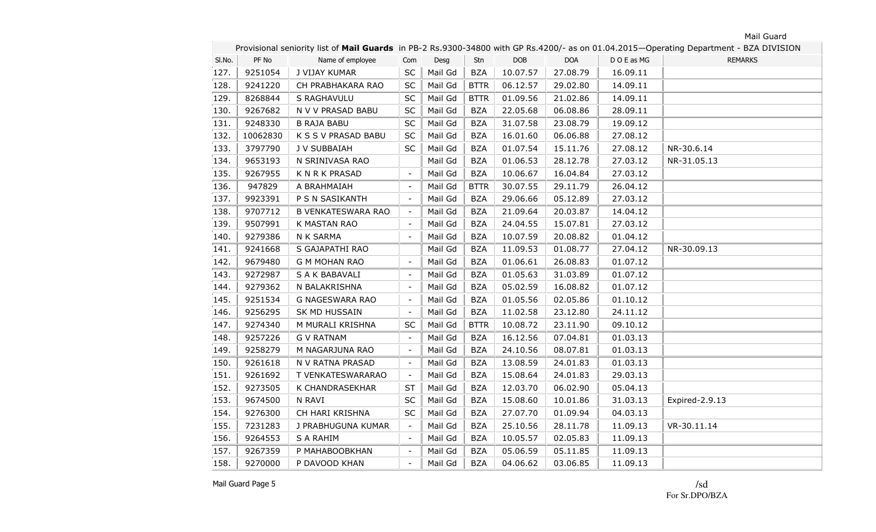٠

|        | Provisional seniority list of Mail Guards in PB-2 Rs.9300-34800 with GP Rs.4200/- as on 01.04.2015-Operating Department - BZA DIVISION |                           |                          |         |             |            |            |           |                |  |  |
|--------|----------------------------------------------------------------------------------------------------------------------------------------|---------------------------|--------------------------|---------|-------------|------------|------------|-----------|----------------|--|--|
| SI.No. | PF No                                                                                                                                  | Name of employee          | Com                      | Desg    | Stn         | <b>DOB</b> | <b>DOA</b> | DOE as MG | <b>REMARKS</b> |  |  |
| 127.   | 9251054                                                                                                                                | J VIJAY KUMAR             | SC                       | Mail Gd | <b>BZA</b>  | 10.07.57   | 27.08.79   | 16.09.11  |                |  |  |
| 128.   | 9241220                                                                                                                                | CH PRABHAKARA RAO         | SC                       | Mail Gd | <b>BTTR</b> | 06.12.57   | 29.02.80   | 14.09.11  |                |  |  |
| 129.   | 8268844                                                                                                                                | S RAGHAVULU               | <b>SC</b>                | Mail Gd | <b>BTTR</b> | 01.09.56   | 21.02.86   | 14.09.11  |                |  |  |
| 130.   | 9267682                                                                                                                                | N V V PRASAD BABU         | SC                       | Mail Gd | <b>BZA</b>  | 22.05.68   | 06.08.86   | 28.09.11  |                |  |  |
| 131.   | 9248330                                                                                                                                | <b>B RAJA BABU</b>        | <b>SC</b>                | Mail Gd | <b>BZA</b>  | 31.07.58   | 23.08.79   | 19.09.12  |                |  |  |
| 132.   | 10062830                                                                                                                               | K S S V PRASAD BABU       | <b>SC</b>                | Mail Gd | <b>BZA</b>  | 16.01.60   | 06.06.88   | 27.08.12  |                |  |  |
| 133.   | 3797790                                                                                                                                | J V SUBBAIAH              | SC                       | Mail Gd | <b>BZA</b>  | 01.07.54   | 15.11.76   | 27.08.12  | NR-30.6.14     |  |  |
| 134.   | 9653193                                                                                                                                | N SRINIVASA RAO           |                          | Mail Gd | <b>BZA</b>  | 01.06.53   | 28.12.78   | 27.03.12  | NR-31.05.13    |  |  |
| 135.   | 9267955                                                                                                                                | <b>KNRKPRASAD</b>         | $\overline{\phantom{a}}$ | Mail Gd | <b>BZA</b>  | 10.06.67   | 16.04.84   | 27.03.12  |                |  |  |
| 136.   | 947829                                                                                                                                 | A BRAHMAIAH               | $\overline{\phantom{a}}$ | Mail Gd | <b>BTTR</b> | 30.07.55   | 29.11.79   | 26.04.12  |                |  |  |
| 137.   | 9923391                                                                                                                                | P S N SASIKANTH           | $\sim$                   | Mail Gd | <b>BZA</b>  | 29.06.66   | 05.12.89   | 27.03.12  |                |  |  |
| 138.   | 9707712                                                                                                                                | <b>B VENKATESWARA RAO</b> | $\overline{\phantom{a}}$ | Mail Gd | <b>BZA</b>  | 21.09.64   | 20.03.87   | 14.04.12  |                |  |  |
| 139.   | 9507991                                                                                                                                | K MASTAN RAO              |                          | Mail Gd | <b>BZA</b>  | 24.04.55   | 15.07.81   | 27.03.12  |                |  |  |
| 140.   | 9279386                                                                                                                                | N K SARMA                 | $\overline{\phantom{a}}$ | Mail Gd | BZA         | 10.07.59   | 20.08.82   | 01.04.12  |                |  |  |
| 141.   | 9241668                                                                                                                                | S GAJAPATHI RAO           |                          | Mail Gd | <b>BZA</b>  | 11.09.53   | 01.08.77   | 27.04.12  | NR-30.09.13    |  |  |
| 142.   | 9679480                                                                                                                                | <b>G M MOHAN RAO</b>      | $\overline{\phantom{a}}$ | Mail Gd | <b>BZA</b>  | 01.06.61   | 26.08.83   | 01.07.12  |                |  |  |
| 143.   | 9272987                                                                                                                                | S A K BABAVALI            | $\overline{\phantom{a}}$ | Mail Gd | <b>BZA</b>  | 01.05.63   | 31.03.89   | 01.07.12  |                |  |  |
| 144.   | 9279362                                                                                                                                | N BALAKRISHNA             | $\overline{\phantom{a}}$ | Mail Gd | <b>BZA</b>  | 05.02.59   | 16.08.82   | 01.07.12  |                |  |  |
| 145.   | 9251534                                                                                                                                | G NAGESWARA RAO           | $\overline{\phantom{a}}$ | Mail Gd | <b>BZA</b>  | 01.05.56   | 02.05.86   | 01.10.12  |                |  |  |
| 146.   | 9256295                                                                                                                                | SK MD HUSSAIN             |                          | Mail Gd | <b>BZA</b>  | 11.02.58   | 23.12.80   | 24.11.12  |                |  |  |
| 147.   | 9274340                                                                                                                                | M MURALI KRISHNA          | SC                       | Mail Gd | <b>BTTR</b> | 10.08.72   | 23.11.90   | 09.10.12  |                |  |  |
| 148.   | 9257226                                                                                                                                | <b>G V RATNAM</b>         | $\overline{\phantom{a}}$ | Mail Gd | <b>BZA</b>  | 16.12.56   | 07.04.81   | 01.03.13  |                |  |  |
| 149.   | 9258279                                                                                                                                | M NAGARJUNA RAO           |                          | Mail Gd | <b>BZA</b>  | 24.10.56   | 08.07.81   | 01.03.13  |                |  |  |
| 150.   | 9261618                                                                                                                                | N V RATNA PRASAD          |                          | Mail Gd | <b>BZA</b>  | 13.08.59   | 24.01.83   | 01.03.13  |                |  |  |
| 151.   | 9261692                                                                                                                                | T VENKATESWARARAO         |                          | Mail Gd | <b>BZA</b>  | 15.08.64   | 24.01.83   | 29.03.13  |                |  |  |
| 152.   | 9273505                                                                                                                                | K CHANDRASEKHAR           | <b>ST</b>                | Mail Gd | <b>BZA</b>  | 12.03.70   | 06.02.90   | 05.04.13  |                |  |  |
| 153.   | 9674500                                                                                                                                | N RAVI                    | <b>SC</b>                | Mail Gd | <b>BZA</b>  | 15.08.60   | 10.01.86   | 31.03.13  | Expired-2.9.13 |  |  |
| 154.   | 9276300                                                                                                                                | CH HARI KRISHNA           | SC                       | Mail Gd | <b>BZA</b>  | 27.07.70   | 01.09.94   | 04.03.13  |                |  |  |
| 155.   | 7231283                                                                                                                                | J PRABHUGUNA KUMAR        | $\overline{\phantom{a}}$ | Mail Gd | <b>BZA</b>  | 25.10.56   | 28.11.78   | 11.09.13  | VR-30.11.14    |  |  |
| 156.   | 9264553                                                                                                                                | S A RAHIM                 | $\overline{\phantom{a}}$ | Mail Gd | <b>BZA</b>  | 10.05.57   | 02.05.83   | 11.09.13  |                |  |  |
| 157.   | 9267359                                                                                                                                | P MAHABOOBKHAN            | $\overline{\phantom{a}}$ | Mail Gd | <b>BZA</b>  | 05.06.59   | 05.11.85   | 11.09.13  |                |  |  |
| 158.   | 9270000                                                                                                                                | P DAVOOD KHAN             |                          | Mail Gd | <b>BZA</b>  | 04.06.62   | 03.06.85   | 11.09.13  |                |  |  |

Mail Guard Page 5

/sd For Sr.DPO/BZA